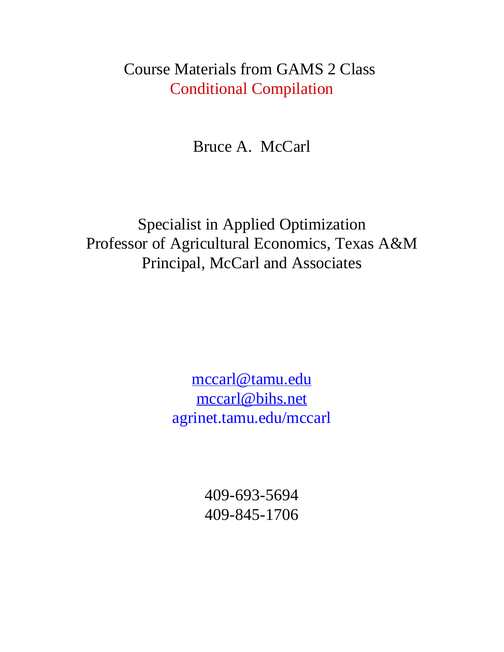### Course Materials from GAMS 2 Class Conditional Compilation

Bruce A. McCarl

Specialist in Applied Optimization Professor of Agricultural Economics, Texas A&M Principal, McCarl and Associates

> mccarl@tamu.edu mccarl@bihs.net agrinet.tamu.edu/mccarl

> > 409-693-5694 409-845-1706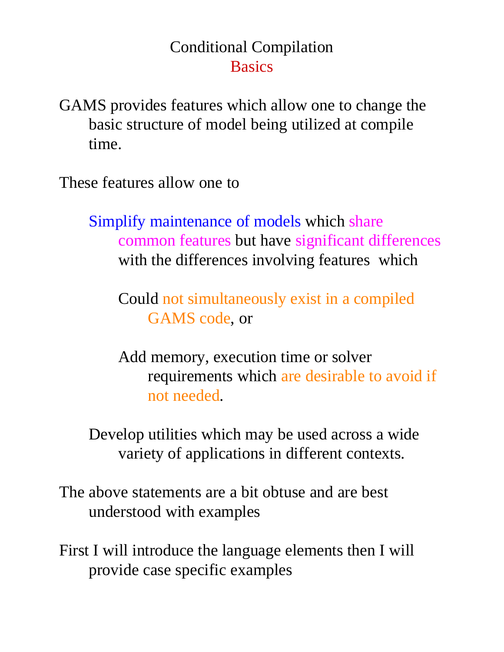## Conditional Compilation **Basics**

GAMS provides features which allow one to change the basic structure of model being utilized at compile time.

These features allow one to

Simplify maintenance of models which share common features but have significant differences with the differences involving features which

Could not simultaneously exist in a compiled GAMS code, or

Add memory, execution time or solver requirements which are desirable to avoid if not needed.

Develop utilities which may be used across a wide variety of applications in different contexts.

The above statements are a bit obtuse and are best understood with examples

First I will introduce the language elements then I will provide case specific examples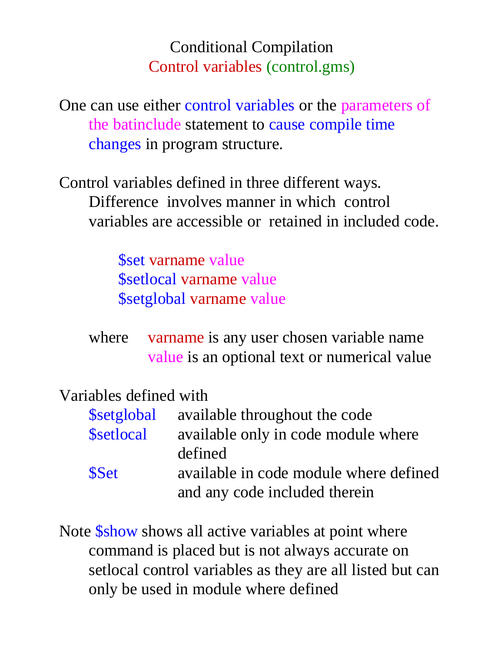## Conditional Compilation Control variables (control.gms)

One can use either control variables or the parameters of the batinclude statement to cause compile time changes in program structure.

Control variables defined in three different ways. Difference involves manner in which control variables are accessible or retained in included code.

> \$set varname value \$setlocal varname value \$setglobal varname value

where varname is any user chosen variable name value is an optional text or numerical value

### Variables defined with

|                  | \$setglobal available throughout the code |
|------------------|-------------------------------------------|
| <b>Ssetlocal</b> | available only in code module where       |
|                  | defined                                   |
| <b>SSet</b>      | available in code module where defined    |
|                  | and any code included therein             |

Note \$show shows all active variables at point where command is placed but is not always accurate on setlocal control variables as they are all listed but can only be used in module where defined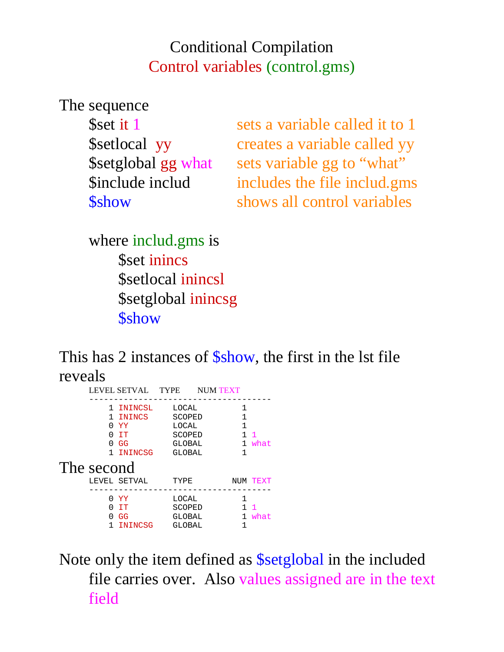## Conditional Compilation Control variables (control.gms)

The sequence

| Sset it 1           |
|---------------------|
| \$setlocal yy       |
| \$setglobal gg what |
| Sinclude includ     |
| <b>Sshow</b>        |

sets a variable called it to 1 creates a variable called yy sets variable gg to "what" includes the file includ.gms shows all control variables

where includ.gms is \$set inincs \$setlocal inincsl \$setglobal inincsg *<u>Sshow</u>* 

This has 2 instances of  $\frac{\text{Schow}}{\text{Schow}}$ , the first in the 1st file reveals

|                        | LEVEL SETVAL TYPE NUM TEXT                            |                                                        |                             |                        |
|------------------------|-------------------------------------------------------|--------------------------------------------------------|-----------------------------|------------------------|
| O.<br>O.<br>The second | 1 ININCSL<br>1 ININCS<br>YY.<br>0 TT<br>GG<br>ININCSG | LOCAL<br>SCOPED<br>LOCAL<br>SCOPED<br>GLOBAL<br>GLOBAL | 1<br>1<br>1<br>1<br>1.<br>1 | $\overline{1}$<br>what |
|                        | LEVEL SETVAL                                          | TYPE                                                   |                             | NUM TEXT               |
| <sup>0</sup><br>U      | 0 YY<br>- T.T<br>GG<br>ININCSG                        | LOCAL<br>SCOPED<br><b>GLOBAL</b><br>GLOBAL             | 1                           | $\mathbf{1}$<br>what   |

Note only the item defined as \$setglobal in the included file carries over. Also values assigned are in the text field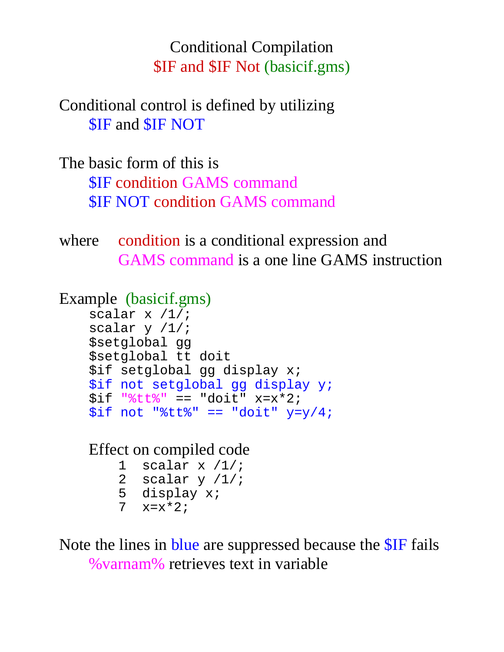Conditional Compilation \$IF and \$IF Not (basicif.gms)

Conditional control is defined by utilizing \$IF and \$IF NOT

The basic form of this is \$IF condition GAMS command \$IF NOT condition GAMS command

where condition is a conditional expression and GAMS command is a one line GAMS instruction

```
Example (basicif.gms)
```

```
scalar x /1/;
scalar y /1/;
$setglobal gg 
$setglobal tt doit
$if setglobal gg display x;
$if not setglobal gg display y;
$if "§tt§" == "doit" x=x*2;$if not "§tt§" == "doit" y=y/4;
```
Effect on compiled code

| $\perp$        | scalar $x / 1 / i$ |
|----------------|--------------------|
| -2.            | scalar y /1/;      |
| 5              | display x;         |
| 7 <sup>7</sup> | $x = x * 2;$       |

Note the lines in blue are suppressed because the \$IF fails %varnam% retrieves text in variable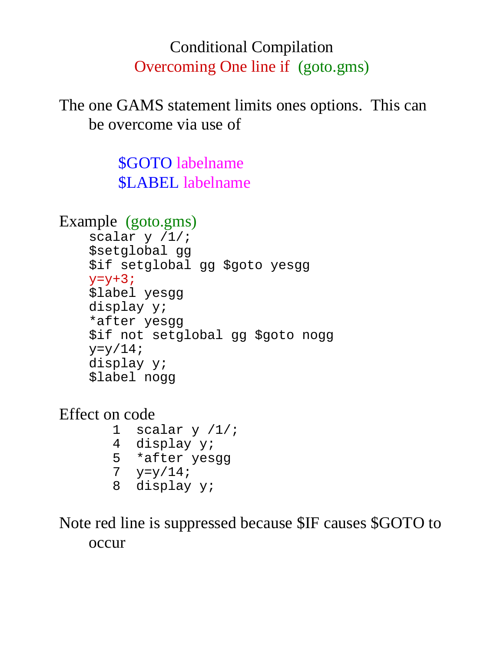# Conditional Compilation Overcoming One line if (goto.gms)

The one GAMS statement limits ones options. This can be overcome via use of

> \$GOTO labelname \$LABEL labelname

```
Example (goto.gms)
```

```
scalar y /1/;
$setglobal gg 
$if setglobal gg $goto yesgg
y=y+3;$label yesgg
display y;
*after yesgg
$if not setglobal gg $goto nogg
y=y/14;display y;
$label nogg
```
Effect on code

1 scalar  $y / 1/i$  4 display y; 5 \*after yesgg 7  $y=y/14;$ 8 display y;

Note red line is suppressed because \$IF causes \$GOTO to occur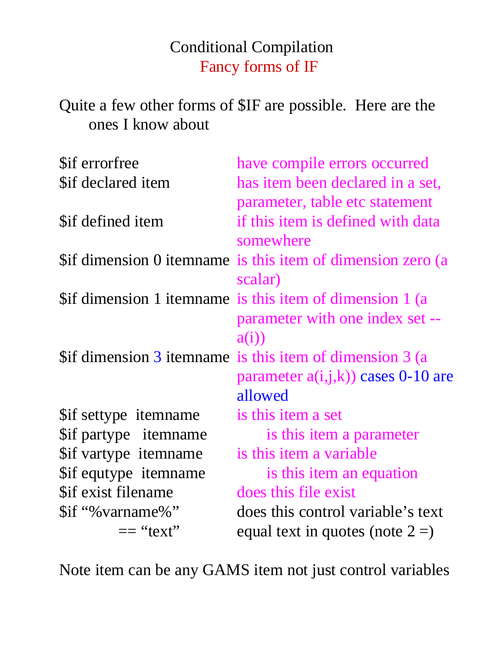Conditional Compilation Fancy forms of IF

Quite a few other forms of \$IF are possible. Here are the ones I know about

| have compile errors occurred                                |
|-------------------------------------------------------------|
| has item been declared in a set,                            |
| parameter, table etc statement                              |
| if this item is defined with data                           |
| somewhere                                                   |
| \$if dimension 0 itemname is this item of dimension zero (a |
| scalar)                                                     |
| \$if dimension 1 itemname is this item of dimension 1 (a    |
| parameter with one index set --                             |
| a(i)                                                        |
| \$if dimension 3 itemname is this item of dimension 3 (a    |
| parameter $a(i,j,k)$ cases 0-10 are                         |
| allowed                                                     |
| is this item a set                                          |
| is this item a parameter                                    |
| is this item a variable                                     |
| is this item an equation                                    |
| does this file exist                                        |
| does this control variable's text                           |
| equal text in quotes (note $2 =$ )                          |
|                                                             |

Note item can be any GAMS item not just control variables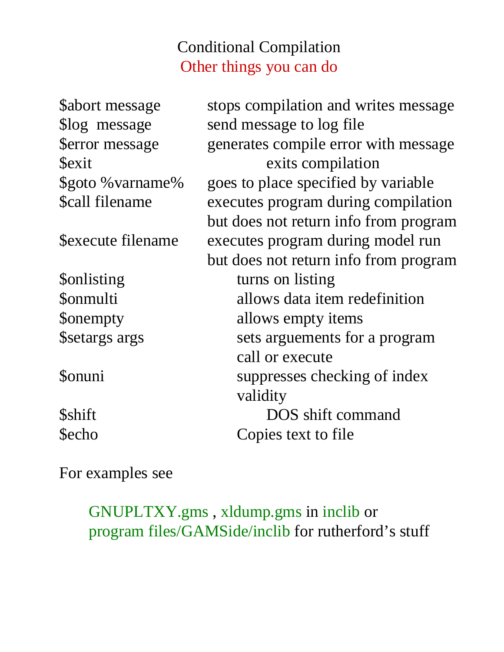# Conditional Compilation Other things you can do

| <b>Sabort message</b>  | stops compilation and writes message  |
|------------------------|---------------------------------------|
| \$log message          | send message to log file              |
| <b>\$error</b> message | generates compile error with message  |
| <b>Sexit</b>           | exits compilation                     |
| \$goto % varname%      | goes to place specified by variable   |
| \$call filename        | executes program during compilation   |
|                        | but does not return info from program |
| Sexecute filename      | executes program during model run     |
|                        | but does not return info from program |
| <b>Sonlisting</b>      | turns on listing                      |
| <b>Sonmulti</b>        | allows data item redefinition         |
| <b>Sonempty</b>        | allows empty items                    |
| \$setargs args         | sets arguements for a program         |
|                        | call or execute                       |
| <b>Sonuni</b>          | suppresses checking of index          |
|                        | validity                              |
| <b>Sshift</b>          | DOS shift command                     |
| <b>Secho</b>           | Copies text to file                   |

For examples see

GNUPLTXY.gms , xldump.gms in inclib or program files/GAMSide/inclib for rutherford's stuff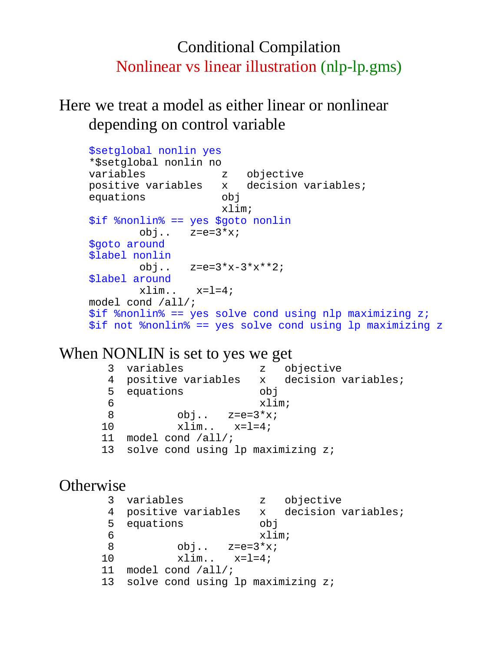### Conditional Compilation Nonlinear vs linear illustration (nlp-lp.gms)

Here we treat a model as either linear or nonlinear depending on control variable

```
$setglobal nonlin yes
*$setglobal nonlin no
variables z objective
positive variables x decision variables;
equations obj
                    xlim;
$if %nonlin% == yes $goto nonlin
       obj.. z=e=3*x;$goto around
$label nonlin
        obj.. z=e=3*x-3*x**2; 
$label around
       xlim. x=1=4;model cond /all/;
$if %nonlin% == yes solve cond using nlp maximizing z;
$if not %nonlin% == yes solve cond using lp maximizing z
```
#### When NONLIN is set to yes we get

 3 variables z objective 4 positive variables x decision variables; 5 equations obj 6 xlim; 8 obj..  $z=e=3*x;$  10 xlim.. x=l=4; 11 model cond /all/; 13 solve cond using lp maximizing z;

#### **Otherwise**

```
 3 variables z objective
 4 positive variables x decision variables;
 5 equations obj
 6 xlim;
8 obj. z=e=3*x;10 x \lim_{x \to 1} x = 1 = 4; 11 model cond /all/;
13 solve cond using lp maximizing z;
```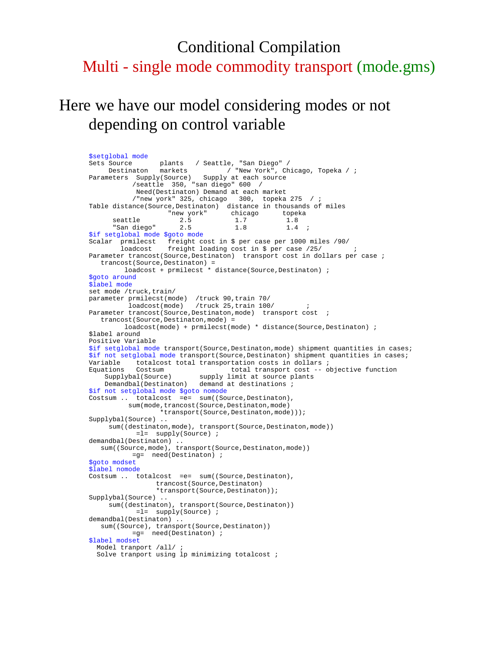### Conditional Compilation Multi - single mode commodity transport (mode.gms)

### Here we have our model considering modes or not depending on control variable

\$setglobal mode<br>Sets Source plants / Seattle, "San Diego" / Destinaton markets / "New York", Chicago, Topeka / ; Parameters Supply(Source) Supply at each source /seattle 350, "san diego" 600 / Need(Destinaton) Demand at each market /"new york" 325, chicago 300, topeka 275 / ; Table distance(Source,Destinaton) distance in thousands of miles %% "new york" chicago topeka<br>seattle 2.5 1.7 1.8<br>"San diego" 2.5 1.8 1.4  $\frac{2.5}{2.5}$ "San diego" 2.5 1.8 1.4 \$if setglobal mode \$goto mode Scalar prmilecst freight cost in \$ per case per 1000 miles /90/ loadcost freight loading cost in \$ per case /25/ ( Parameter trancost(Source,Destinaton) transport cost in dollars per case ; trancost(Source,Destinaton) = loadcost + prmilecst \* distance(Source, Destinaton) ; \$goto around \$label mode set mode /truck, train/ parameter prmilecst(mode) /truck 90,train 70/ loadcost(mode) /truck 25,train 100/ ; Parameter trancost(Source, Destinaton, mode) transport cost trancost(Source,Destinaton,mode) = loadcost(mode) + prmilecst(mode) \* distance(Source,Destinaton) ; \$label around Positive Variable \$if setglobal mode transport(Source, Destinaton, mode) shipment quantities in cases; \$if not setglobal mode transport(Source,Destinaton) shipment quantities in cases; Variable totalcost total transportation costs in dollars ; Equations Costsum total transport cost -- objective function Supplybal(Source) supply limit at source plants Demandbal(Destinaton) demand at destinations ; \$if not setglobal mode \$goto nomode Costsum .. totalcost =e= sum((Source,Destinaton), sum(mode,trancost(Source,Destinaton,mode) \*transport(Source,Destinaton,mode))); Supplybal(Source) .. sum((destinaton,mode), transport(Source,Destinaton,mode)) =l= supply(Source) ; demandbal(Destinaton) .. sum((Source,mode), transport(Source,Destinaton,mode)) =g= need(Destinaton) ; \$goto modset \$label nomode Costsum .. totalcost =e= sum((Source,Destinaton), trancost(Source,Destinaton) \*transport(Source,Destinaton)); Supplybal(Source) .. sum((destinaton), transport(Source,Destinaton)) =l= supply(Source) ; demandbal(Destinaton) .. sum((Source), transport(Source,Destinaton)) =g= need(Destinaton) ; \$label modset Model tranport /all/ ; Solve tranport using lp minimizing totalcost ;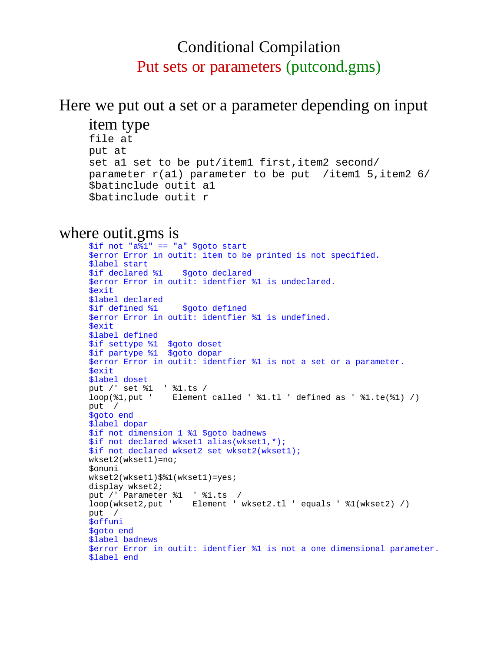### Conditional Compilation Put sets or parameters (putcond.gms)

### Here we put out a set or a parameter depending on input

item type

```
file at
put at
set al set to be put/item1 first, item2 second/
parameter r(al) parameter to be put /item1 5,item2 6/
$batinclude outit a1
$batinclude outit r
```
#### where outit.gms is

```
$if not "a%1" == "a" $goto start
$error Error in outit: item to be printed is not specified.
$label start
$if declared %1 $goto declared
$error Error in outit: identfier %1 is undeclared.
$exit
$label declared
$if defined %1 $goto defined
$error Error in outit: identfier %1 is undefined.
$exit
$label defined
$if settype %1 $goto doset
$if partype %1 $goto dopar
$error Error in outit: identfier %1 is not a set or a parameter.
$exit
$label doset
put /' set %1 ' %1.ts / 
loop(%1,put ' Element called ' %1.tl ' defined as ' %1.te(%1) /)
put /
$goto end
$label dopar
$if not dimension 1 %1 $goto badnews
$if not declared wkset1 alias(wkset1,*);
$if not declared wkset2 set wkset2(wkset1);
wkset2(wkset1)=no;
$onuni
wkset2(wkset1)$%1(wkset1)=yes;
display wkset2;
put /' Parameter %1 ' %1.ts /
loop(wkset2,put ' Element ' wkset2.tl ' equals ' %1(wkset2) /)
put /
$offuni
$goto end
$label badnews
$error Error in outit: identfier %1 is not a one dimensional parameter.
$label end
```